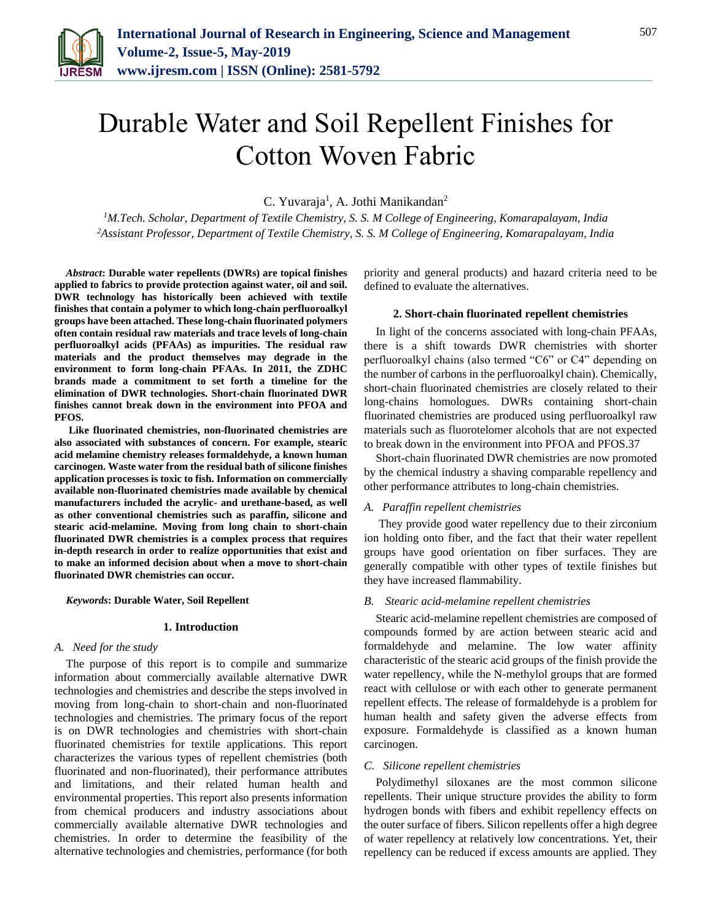

# Durable Water and Soil Repellent Finishes for Cotton Woven Fabric

C. Yuvaraja<sup>1</sup>, A. Jothi Manikandan<sup>2</sup>

*<sup>1</sup>M.Tech. Scholar, Department of Textile Chemistry, S. S. M College of Engineering, Komarapalayam, India 2Assistant Professor, Department of Textile Chemistry, S. S. M College of Engineering, Komarapalayam, India*

*Abstract***: Durable water repellents (DWRs) are topical finishes applied to fabrics to provide protection against water, oil and soil. DWR technology has historically been achieved with textile finishes that contain a polymer to which long-chain perfluoroalkyl groups have been attached. These long-chain fluorinated polymers often contain residual raw materials and trace levels of long-chain perfluoroalkyl acids (PFAAs) as impurities. The residual raw materials and the product themselves may degrade in the environment to form long-chain PFAAs. In 2011, the ZDHC brands made a commitment to set forth a timeline for the elimination of DWR technologies. Short-chain fluorinated DWR finishes cannot break down in the environment into PFOA and PFOS.**

**Like fluorinated chemistries, non-fluorinated chemistries are also associated with substances of concern. For example, stearic acid melamine chemistry releases formaldehyde, a known human carcinogen. Waste water from the residual bath of silicone finishes application processes is toxic to fish. Information on commercially available non-fluorinated chemistries made available by chemical manufacturers included the acrylic- and urethane-based, as well as other conventional chemistries such as paraffin, silicone and stearic acid-melamine. Moving from long chain to short-chain fluorinated DWR chemistries is a complex process that requires in-depth research in order to realize opportunities that exist and to make an informed decision about when a move to short-chain fluorinated DWR chemistries can occur.** 

*Keywords***: Durable Water, Soil Repellent**

#### **1. Introduction**

## *A. Need for the study*

The purpose of this report is to compile and summarize information about commercially available alternative DWR technologies and chemistries and describe the steps involved in moving from long-chain to short-chain and non-fluorinated technologies and chemistries. The primary focus of the report is on DWR technologies and chemistries with short-chain fluorinated chemistries for textile applications. This report characterizes the various types of repellent chemistries (both fluorinated and non-fluorinated), their performance attributes and limitations, and their related human health and environmental properties. This report also presents information from chemical producers and industry associations about commercially available alternative DWR technologies and chemistries. In order to determine the feasibility of the alternative technologies and chemistries, performance (for both priority and general products) and hazard criteria need to be defined to evaluate the alternatives.

## **2. Short-chain fluorinated repellent chemistries**

In light of the concerns associated with long-chain PFAAs, there is a shift towards DWR chemistries with shorter perfluoroalkyl chains (also termed "C6" or C4" depending on the number of carbons in the perfluoroalkyl chain). Chemically, short-chain fluorinated chemistries are closely related to their long-chains homologues. DWRs containing short-chain fluorinated chemistries are produced using perfluoroalkyl raw materials such as fluorotelomer alcohols that are not expected to break down in the environment into PFOA and PFOS.37

Short-chain fluorinated DWR chemistries are now promoted by the chemical industry a shaving comparable repellency and other performance attributes to long-chain chemistries.

#### *A. Paraffin repellent chemistries*

They provide good water repellency due to their zirconium ion holding onto fiber, and the fact that their water repellent groups have good orientation on fiber surfaces. They are generally compatible with other types of textile finishes but they have increased flammability.

## *B. Stearic acid-melamine repellent chemistries*

Stearic acid-melamine repellent chemistries are composed of compounds formed by are action between stearic acid and formaldehyde and melamine. The low water affinity characteristic of the stearic acid groups of the finish provide the water repellency, while the N-methylol groups that are formed react with cellulose or with each other to generate permanent repellent effects. The release of formaldehyde is a problem for human health and safety given the adverse effects from exposure. Formaldehyde is classified as a known human carcinogen.

#### *C. Silicone repellent chemistries*

Polydimethyl siloxanes are the most common silicone repellents. Their unique structure provides the ability to form hydrogen bonds with fibers and exhibit repellency effects on the outer surface of fibers. Silicon repellents offer a high degree of water repellency at relatively low concentrations. Yet, their repellency can be reduced if excess amounts are applied. They